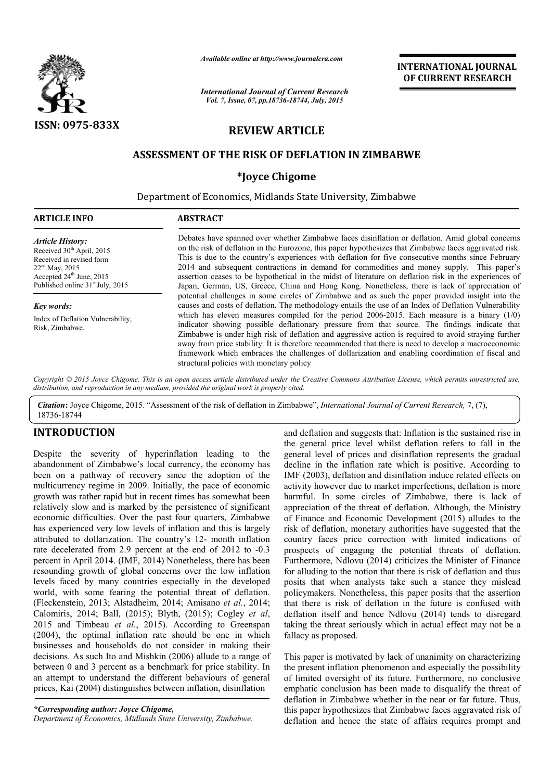

*Available online at http://www.journalcra.com*

*International Journal of Current Research Vol. 7, Issue, 07, pp.18736-18744, July, 2015*

INTERNATIONAL JOURNAL OF CURRENT RESEARCH

# REVIEW ARTICLE

## ASSESSMENT OF THE RISK OF DEFLATION IN ZIMBABWE

## \*Joyce Chigome

Department of Economics, Midlands State University, Zimbabwe

| <b>ARTICLE INFO</b>                                                                                                                                                                                      | <b>ABSTRACT</b>                                                                                                                                                                                                                                                                                                                                                                                                                                                                                                                                                                                                          |  |  |  |
|----------------------------------------------------------------------------------------------------------------------------------------------------------------------------------------------------------|--------------------------------------------------------------------------------------------------------------------------------------------------------------------------------------------------------------------------------------------------------------------------------------------------------------------------------------------------------------------------------------------------------------------------------------------------------------------------------------------------------------------------------------------------------------------------------------------------------------------------|--|--|--|
| <b>Article History:</b><br>Received 30 <sup>th</sup> April, 2015<br>Received in revised form<br>$22ed$ May, 2015<br>Accepted 24 <sup>th</sup> June, 2015<br>Published online 31 <sup>st</sup> July, 2015 | Debates have spanned over whether Zimbabwe faces disinflation or deflation. Amid global concerns<br>on the risk of deflation in the Eurozone, this paper hypothesizes that Zimbabwe faces aggravated risk.<br>This is due to the country's experiences with deflation for five consecutive months since February<br>2014 and subsequent contractions in demand for commodities and money supply. This paper's<br>assertion ceases to be hypothetical in the midst of literature on deflation risk in the experiences of<br>Japan, German, US, Greece, China and Hong Kong, Nonetheless, there is lack of appreciation of |  |  |  |
| Key words:                                                                                                                                                                                               | potential challenges in some circles of Zimbabwe and as such the paper provided insight into the<br>causes and costs of deflation. The methodology entails the use of an Index of Deflation Vulnerability                                                                                                                                                                                                                                                                                                                                                                                                                |  |  |  |
| Index of Deflation Vulnerability,<br>Risk, Zimbabwe.                                                                                                                                                     | which has eleven measures compiled for the period 2006-2015. Each measure is a binary $(1/0)$<br>indicator showing possible deflationary pressure from that source. The findings indicate that<br>Zimbabwe is under high risk of deflation and aggressive action is required to avoid straying further<br>away from price stability. It is therefore recommended that there is need to develop a macroeconomic<br>framework which embraces the challenges of dollarization and enabling coordination of fiscal and<br>structural policies with monetary policy                                                           |  |  |  |

*Copyright © 2015 Joyce Chigome. This is an open access article distributed under the Creative Commons Attribution License, which permits unrestricted use, distribution, and reproduction in any medium, provided the original work is properly cited.*

*Citation*: Joyce Chigome, 2015. "Assessment of the risk of deflation in Zimbabwe", *International Journal of Current Research,* 7, (7), 18736-18744

## INTRODUCTION

Despite the severity of hyperinflation leading to the abandonment of Zimbabwe's local currency, the economy has been on a pathway of recovery since the adoption of the multicurrency regime in 2009. Initially, the pace of economic growth was rather rapid but in recent times has somewhat been relatively slow and is marked by the persistence of significant economic difficulties. Over the past four quarters, Zimbabwe has experienced very low levels of inflation and this is largely attributed to dollarization. The country's 12- month inflation rate decelerated from 2.9 percent at the end of 2012 to -0.3 percent in April 2014. (IMF, 2014) Nonetheless, there has been resounding growth of global concerns over the low inflation levels faced by many countries especially in the developed world, with some fearing the potential threat of deflation. (Fleckenstein, 2013; Alstadheim, 2014; Amisano *et al.*, 2014; Calomiris, 2014; Ball, (2015); Blyth, (2015); Cogley *et al*, 2015 and Timbeau *et al.*, 2015). According to Greenspan (2004), the optimal inflation rate should be one in which businesses and households do not consider in making their decisions. As such Ito and Mishkin (2006) allude to a range of between 0 and 3 percent as a benchmark for price stability. In an attempt to understand the different behaviours of general prices, Kai (2004) distinguishes between inflation, disinflation

*Department of Economics, Midlands State University, Zimbabwe.*

and deflation and suggests that: Inflation is the sustained rise in the general price level whilst deflation refers to fall in the general level of prices and disinflation represents the gradual decline in the inflation rate which is positive. According to IMF (2003), deflation and disinflation induce related effects on activity however due to market imperfections, deflation is more harmful. In some circles of Zimbabwe, there is lack of appreciation of the threat of deflation. Although, the Ministry of Finance and Economic Development (2015) alludes to the risk of deflation, monetary authorities have suggested that the country faces price correction with limited indications of prospects of engaging the potential threats of deflation. Furthermore, Ndlovu (2014) criticizes the Minister of Finance for alluding to the notion that there is risk of deflation and thus posits that when analysts take such a stance they mislead policymakers. Nonetheless, this paper posits that the assertion that there is risk of deflation in the future is confused with deflation itself and hence Ndlovu (2014) tends to disregard taking the threat seriously which in actual effect may not be a fallacy as proposed.

This paper is motivated by lack of unanimity on characterizing the present inflation phenomenon and especially the possibility of limited oversight of its future. Furthermore, no conclusive emphatic conclusion has been made to disqualify the threat of deflation in Zimbabwe whether in the near or far future. Thus, this paper hypothesizes that Zimbabwe faces aggravated risk of deflation and hence the state of affairs requires prompt and

*<sup>\*</sup>Corresponding author: Joyce Chigome,*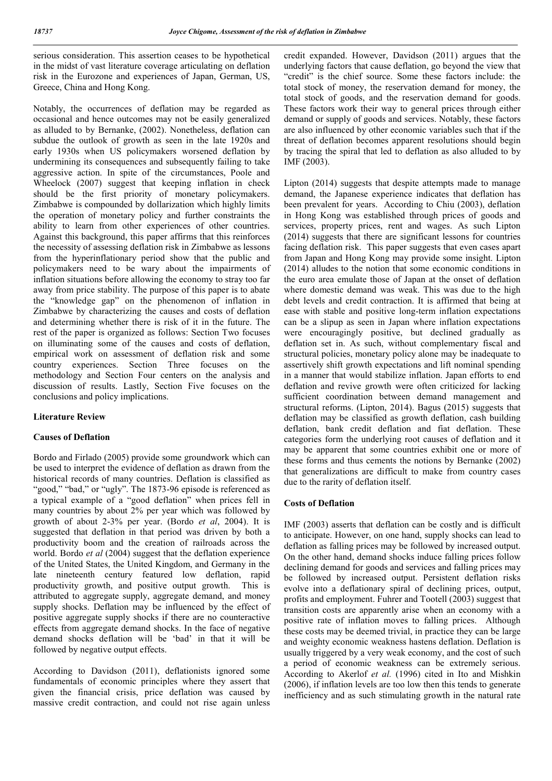serious consideration. This assertion ceases to be hypothetical in the midst of vast literature coverage articulating on deflation risk in the Eurozone and experiences of Japan, German, US, Greece, China and Hong Kong.

Notably, the occurrences of deflation may be regarded as occasional and hence outcomes may not be easily generalized as alluded to by Bernanke, (2002). Nonetheless, deflation can subdue the outlook of growth as seen in the late 1920s and early 1930s when US policymakers worsened deflation by undermining its consequences and subsequently failing to take aggressive action. In spite of the circumstances, Poole and Wheelock (2007) suggest that keeping inflation in check should be the first priority of monetary policymakers. Zimbabwe is compounded by dollarization which highly limits the operation of monetary policy and further constraints the ability to learn from other experiences of other countries. Against this background, this paper affirms that this reinforces the necessity of assessing deflation risk in Zimbabwe as lessons from the hyperinflationary period show that the public and policymakers need to be wary about the impairments of inflation situations before allowing the economy to stray too far away from price stability. The purpose of this paper is to abate the "knowledge gap" on the phenomenon of inflation in Zimbabwe by characterizing the causes and costs of deflation and determining whether there is risk of it in the future. The rest of the paper is organized as follows: Section Two focuses on illuminating some of the causes and costs of deflation, empirical work on assessment of deflation risk and some country experiences. Section Three focuses on the methodology and Section Four centers on the analysis and discussion of results. Lastly, Section Five focuses on the conclusions and policy implications.

## Literature Review

## Causes of Deflation

Bordo and Firlado (2005) provide some groundwork which can be used to interpret the evidence of deflation as drawn from the historical records of many countries. Deflation is classified as "good," "bad," or "ugly". The 1873-96 episode is referenced as a typical example of a "good deflation" when prices fell in many countries by about 2% per year which was followed by growth of about 2-3% per year. (Bordo *et al*, 2004). It is suggested that deflation in that period was driven by both a productivity boom and the creation of railroads across the world. Bordo *et al* (2004) suggest that the deflation experience of the United States, the United Kingdom, and Germany in the late nineteenth century featured low deflation, rapid productivity growth, and positive output growth. This is attributed to aggregate supply, aggregate demand, and money supply shocks. Deflation may be influenced by the effect of positive aggregate supply shocks if there are no counteractive effects from aggregate demand shocks. In the face of negative demand shocks deflation will be 'bad' in that it will be followed by negative output effects.

According to Davidson (2011), deflationists ignored some fundamentals of economic principles where they assert that given the financial crisis, price deflation was caused by massive credit contraction, and could not rise again unless

credit expanded. However, Davidson (2011) argues that the underlying factors that cause deflation, go beyond the view that "credit" is the chief source. Some these factors include: the total stock of money, the reservation demand for money, the total stock of goods, and the reservation demand for goods. These factors work their way to general prices through either demand or supply of goods and services. Notably, these factors are also influenced by other economic variables such that if the threat of deflation becomes apparent resolutions should begin by tracing the spiral that led to deflation as also alluded to by IMF (2003).

Lipton (2014) suggests that despite attempts made to manage demand, the Japanese experience indicates that deflation has been prevalent for years. According to Chiu (2003), deflation in Hong Kong was established through prices of goods and services, property prices, rent and wages. As such Lipton (2014) suggests that there are significant lessons for countries facing deflation risk. This paper suggests that even cases apart from Japan and Hong Kong may provide some insight. Lipton (2014) alludes to the notion that some economic conditions in the euro area emulate those of Japan at the onset of deflation where domestic demand was weak. This was due to the high debt levels and credit contraction. It is affirmed that being at ease with stable and positive long-term inflation expectations can be a slipup as seen in Japan where inflation expectations were encouragingly positive, but declined gradually as deflation set in. As such, without complementary fiscal and structural policies, monetary policy alone may be inadequate to assertively shift growth expectations and lift nominal spending in a manner that would stabilize inflation. Japan efforts to end deflation and revive growth were often criticized for lacking sufficient coordination between demand management and structural reforms. (Lipton, 2014). Bagus (2015) suggests that deflation may be classified as growth deflation, cash building deflation, bank credit deflation and fiat deflation. These categories form the underlying root causes of deflation and it may be apparent that some countries exhibit one or more of these forms and thus cements the notions by Bernanke (2002) that generalizations are difficult to make from country cases due to the rarity of deflation itself.

### Costs of Deflation

IMF (2003) asserts that deflation can be costly and is difficult to anticipate. However, on one hand, supply shocks can lead to deflation as falling prices may be followed by increased output. On the other hand, demand shocks induce falling prices follow declining demand for goods and services and falling prices may be followed by increased output. Persistent deflation risks evolve into a deflationary spiral of declining prices, output, profits and employment. Fuhrer and Tootell (2003) suggest that transition costs are apparently arise when an economy with a positive rate of inflation moves to falling prices. Although these costs may be deemed trivial, in practice they can be large and weighty economic weakness hastens deflation. Deflation is usually triggered by a very weak economy, and the cost of such a period of economic weakness can be extremely serious. According to Akerlof *et al.* (1996) cited in Ito and Mishkin (2006), if inflation levels are too low then this tends to generate inefficiency and as such stimulating growth in the natural rate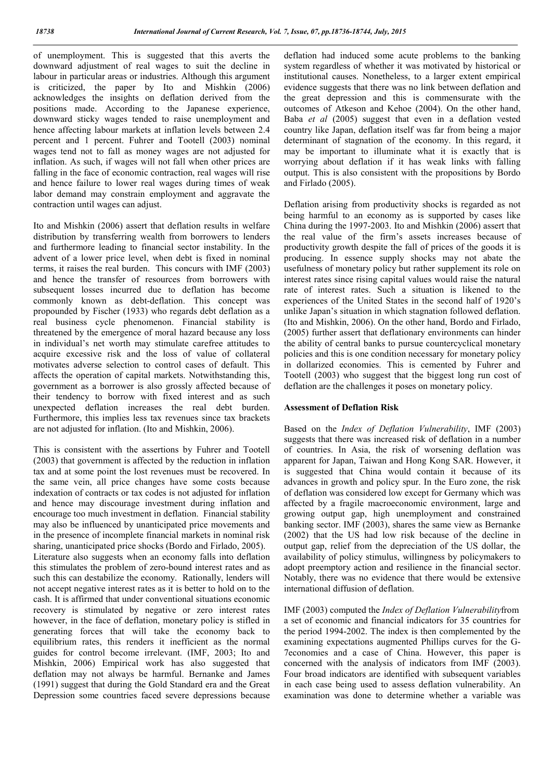of unemployment. This is suggested that this averts the downward adjustment of real wages to suit the decline in labour in particular areas or industries. Although this argument is criticized, the paper by Ito and Mishkin (2006) acknowledges the insights on deflation derived from the positions made. According to the Japanese experience, downward sticky wages tended to raise unemployment and hence affecting labour markets at inflation levels between 2.4 percent and 1 percent. Fuhrer and Tootell (2003) nominal wages tend not to fall as money wages are not adjusted for inflation. As such, if wages will not fall when other prices are falling in the face of economic contraction, real wages will rise and hence failure to lower real wages during times of weak labor demand may constrain employment and aggravate the contraction until wages can adjust.

Ito and Mishkin (2006) assert that deflation results in welfare distribution by transferring wealth from borrowers to lenders and furthermore leading to financial sector instability. In the advent of a lower price level, when debt is fixed in nominal terms, it raises the real burden. This concurs with IMF (2003) and hence the transfer of resources from borrowers with subsequent losses incurred due to deflation has become commonly known as debt-deflation. This concept was propounded by Fischer (1933) who regards debt deflation as a real business cycle phenomenon. Financial stability is threatened by the emergence of moral hazard because any loss in individual's net worth may stimulate carefree attitudes to acquire excessive risk and the loss of value of collateral motivates adverse selection to control cases of default. This affects the operation of capital markets. Notwithstanding this, government as a borrower is also grossly affected because of their tendency to borrow with fixed interest and as such unexpected deflation increases the real debt burden. Furthermore, this implies less tax revenues since tax brackets are not adjusted for inflation. (Ito and Mishkin, 2006).

This is consistent with the assertions by Fuhrer and Tootell (2003) that government is affected by the reduction in inflation tax and at some point the lost revenues must be recovered. In the same vein, all price changes have some costs because indexation of contracts or tax codes is not adjusted for inflation and hence may discourage investment during inflation and encourage too much investment in deflation. Financial stability may also be influenced by unanticipated price movements and in the presence of incomplete financial markets in nominal risk sharing, unanticipated price shocks (Bordo and Firlado, 2005). Literature also suggests when an economy falls into deflation this stimulates the problem of zero-bound interest rates and as such this can destabilize the economy. Rationally, lenders will not accept negative interest rates as it is better to hold on to the cash. It is affirmed that under conventional situations economic recovery is stimulated by negative or zero interest rates however, in the face of deflation, monetary policy is stifled in generating forces that will take the economy back to equilibrium rates, this renders it inefficient as the normal guides for control become irrelevant. (IMF, 2003; Ito and Mishkin, 2006) Empirical work has also suggested that deflation may not always be harmful. Bernanke and James (1991) suggest that during the Gold Standard era and the Great Depression some countries faced severe depressions because

deflation had induced some acute problems to the banking system regardless of whether it was motivated by historical or institutional causes. Nonetheless, to a larger extent empirical evidence suggests that there was no link between deflation and the great depression and this is commensurate with the outcomes of Atkeson and Kehoe (2004). On the other hand, Baba *et al* (2005) suggest that even in a deflation vested country like Japan, deflation itself was far from being a major determinant of stagnation of the economy. In this regard, it may be important to illuminate what it is exactly that is worrying about deflation if it has weak links with falling output. This is also consistent with the propositions by Bordo and Firlado (2005).

Deflation arising from productivity shocks is regarded as not being harmful to an economy as is supported by cases like China during the 1997-2003. Ito and Mishkin (2006) assert that the real value of the firm's assets increases because of productivity growth despite the fall of prices of the goods it is producing. In essence supply shocks may not abate the usefulness of monetary policy but rather supplement its role on interest rates since rising capital values would raise the natural rate of interest rates. Such a situation is likened to the experiences of the United States in the second half of 1920's unlike Japan's situation in which stagnation followed deflation. (Ito and Mishkin, 2006). On the other hand, Bordo and Firlado, (2005) further assert that deflationary environments can hinder the ability of central banks to pursue countercyclical monetary policies and this is one condition necessary for monetary policy in dollarized economies. This is cemented by Fuhrer and Tootell (2003) who suggest that the biggest long run cost of deflation are the challenges it poses on monetary policy.

#### Assessment of Deflation Risk

Based on the *Index of Deflation Vulnerability*, IMF (2003) suggests that there was increased risk of deflation in a number of countries. In Asia, the risk of worsening deflation was apparent for Japan, Taiwan and Hong Kong SAR. However, it is suggested that China would contain it because of its advances in growth and policy spur. In the Euro zone, the risk of deflation was considered low except for Germany which was affected by a fragile macroeconomic environment, large and growing output gap, high unemployment and constrained banking sector. IMF (2003), shares the same view as Bernanke (2002) that the US had low risk because of the decline in output gap, relief from the depreciation of the US dollar, the availability of policy stimulus, willingness by policymakers to adopt preemptory action and resilience in the financial sector. Notably, there was no evidence that there would be extensive international diffusion of deflation.

IMF (2003) computed the *Index of Deflation Vulnerability*from a set of economic and financial indicators for 35 countries for the period 1994-2002. The index is then complemented by the examining expectations augmented Phillips curves for the G-7economies and a case of China. However, this paper is concerned with the analysis of indicators from IMF (2003). Four broad indicators are identified with subsequent variables in each case being used to assess deflation vulnerability. An examination was done to determine whether a variable was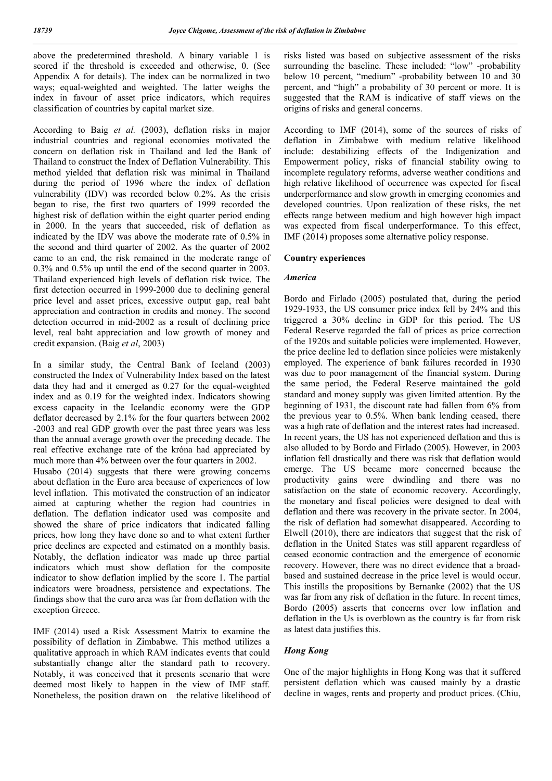above the predetermined threshold. A binary variable 1 is scored if the threshold is exceeded and otherwise, 0. (See Appendix A for details). The index can be normalized in two ways; equal-weighted and weighted. The latter weighs the index in favour of asset price indicators, which requires classification of countries by capital market size.

According to Baig *et al.* (2003), deflation risks in major industrial countries and regional economies motivated the concern on deflation risk in Thailand and led the Bank of Thailand to construct the Index of Deflation Vulnerability. This method yielded that deflation risk was minimal in Thailand during the period of 1996 where the index of deflation vulnerability (IDV) was recorded below 0.2%. As the crisis began to rise, the first two quarters of 1999 recorded the highest risk of deflation within the eight quarter period ending in 2000. In the years that succeeded, risk of deflation as indicated by the IDV was above the moderate rate of 0.5% in the second and third quarter of 2002. As the quarter of 2002 came to an end, the risk remained in the moderate range of 0.3% and 0.5% up until the end of the second quarter in 2003. Thailand experienced high levels of deflation risk twice. The first detection occurred in 1999-2000 due to declining general price level and asset prices, excessive output gap, real baht appreciation and contraction in credits and money. The second detection occurred in mid-2002 as a result of declining price level, real baht appreciation and low growth of money and credit expansion. (Baig *et al*, 2003)

In a similar study, the Central Bank of Iceland (2003) constructed the Index of Vulnerability Index based on the latest data they had and it emerged as 0.27 for the equal-weighted index and as 0.19 for the weighted index. Indicators showing excess capacity in the Icelandic economy were the GDP deflator decreased by 2.1% for the four quarters between 2002 -2003 and real GDP growth over the past three years was less than the annual average growth over the preceding decade. The real effective exchange rate of the króna had appreciated by much more than 4% between over the four quarters in 2002.

Husabo (2014) suggests that there were growing concerns about deflation in the Euro area because of experiences of low level inflation. This motivated the construction of an indicator aimed at capturing whether the region had countries in deflation. The deflation indicator used was composite and showed the share of price indicators that indicated falling prices, how long they have done so and to what extent further price declines are expected and estimated on a monthly basis. Notably, the deflation indicator was made up three partial indicators which must show deflation for the composite indicator to show deflation implied by the score 1. The partial indicators were broadness, persistence and expectations. The findings show that the euro area was far from deflation with the exception Greece.

IMF (2014) used a Risk Assessment Matrix to examine the possibility of deflation in Zimbabwe. This method utilizes a qualitative approach in which RAM indicates events that could substantially change alter the standard path to recovery. Notably, it was conceived that it presents scenario that were deemed most likely to happen in the view of IMF staff. Nonetheless, the position drawn on the relative likelihood of risks listed was based on subjective assessment of the risks surrounding the baseline. These included: "low" -probability below 10 percent, "medium" -probability between 10 and 30 percent, and "high" a probability of 30 percent or more. It is suggested that the RAM is indicative of staff views on the origins of risks and general concerns.

According to IMF (2014), some of the sources of risks of deflation in Zimbabwe with medium relative likelihood include: destabilizing effects of the Indigenization and Empowerment policy, risks of financial stability owing to incomplete regulatory reforms, adverse weather conditions and high relative likelihood of occurrence was expected for fiscal underperformance and slow growth in emerging economies and developed countries. Upon realization of these risks, the net effects range between medium and high however high impact was expected from fiscal underperformance. To this effect, IMF (2014) proposes some alternative policy response.

### Country experiences

#### *America*

Bordo and Firlado (2005) postulated that, during the period 1929-1933, the US consumer price index fell by 24% and this triggered a 30% decline in GDP for this period. The US Federal Reserve regarded the fall of prices as price correction of the 1920s and suitable policies were implemented. However, the price decline led to deflation since policies were mistakenly employed. The experience of bank failures recorded in 1930 was due to poor management of the financial system. During the same period, the Federal Reserve maintained the gold standard and money supply was given limited attention. By the beginning of 1931, the discount rate had fallen from 6% from the previous year to 0.5%. When bank lending ceased, there was a high rate of deflation and the interest rates had increased. In recent years, the US has not experienced deflation and this is also alluded to by Bordo and Firlado (2005). However, in 2003 inflation fell drastically and there was risk that deflation would emerge. The US became more concerned because the productivity gains were dwindling and there was no satisfaction on the state of economic recovery. Accordingly, the monetary and fiscal policies were designed to deal with deflation and there was recovery in the private sector. In 2004, the risk of deflation had somewhat disappeared. According to Elwell (2010), there are indicators that suggest that the risk of deflation in the United States was still apparent regardless of ceased economic contraction and the emergence of economic recovery. However, there was no direct evidence that a broadbased and sustained decrease in the price level is would occur. This instills the propositions by Bernanke (2002) that the US was far from any risk of deflation in the future. In recent times, Bordo (2005) asserts that concerns over low inflation and deflation in the Us is overblown as the country is far from risk as latest data justifies this.

### *Hong Kong*

One of the major highlights in Hong Kong was that it suffered persistent deflation which was caused mainly by a drastic decline in wages, rents and property and product prices. (Chiu,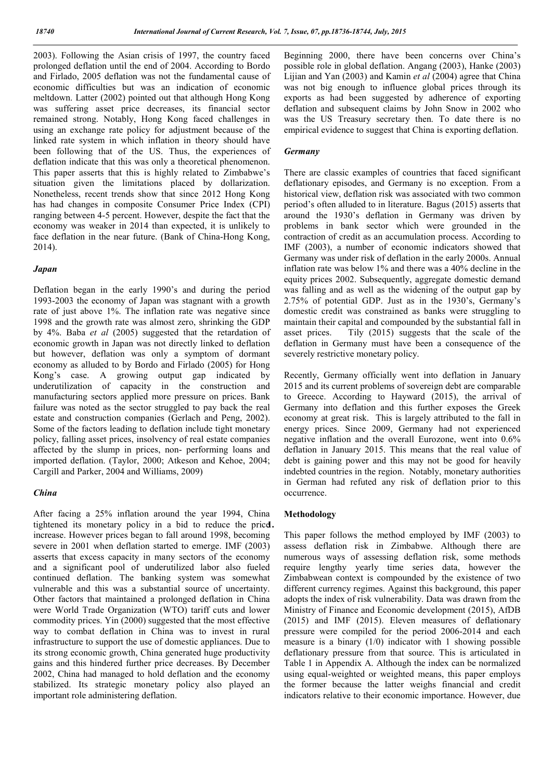2003). Following the Asian crisis of 1997, the country faced prolonged deflation until the end of 2004. According to Bordo and Firlado, 2005 deflation was not the fundamental cause of economic difficulties but was an indication of economic meltdown. Latter (2002) pointed out that although Hong Kong was suffering asset price decreases, its financial sector remained strong. Notably, Hong Kong faced challenges in using an exchange rate policy for adjustment because of the linked rate system in which inflation in theory should have been following that of the US. Thus, the experiences of deflation indicate that this was only a theoretical phenomenon. This paper asserts that this is highly related to Zimbabwe's situation given the limitations placed by dollarization. Nonetheless, recent trends show that since 2012 Hong Kong has had changes in composite Consumer Price Index (CPI) ranging between 4-5 percent. However, despite the fact that the economy was weaker in 2014 than expected, it is unlikely to face deflation in the near future. (Bank of China-Hong Kong, 2014).

### *Japan*

Deflation began in the early 1990's and during the period 1993-2003 the economy of Japan was stagnant with a growth rate of just above 1%. The inflation rate was negative since 1998 and the growth rate was almost zero, shrinking the GDP by 4%. Baba *et al* (2005) suggested that the retardation of economic growth in Japan was not directly linked to deflation but however, deflation was only a symptom of dormant economy as alluded to by Bordo and Firlado (2005) for Hong Kong's case. A growing output gap indicated by underutilization of capacity in the construction and manufacturing sectors applied more pressure on prices. Bank failure was noted as the sector struggled to pay back the real estate and construction companies (Gerlach and Peng, 2002). Some of the factors leading to deflation include tight monetary policy, falling asset prices, insolvency of real estate companies affected by the slump in prices, non- performing loans and imported deflation. (Taylor, 2000; Atkeson and Kehoe, 2004; Cargill and Parker, 2004 and Williams, 2009)

### *China*

After facing a 25% inflation around the year 1994, China tightened its monetary policy in a bid to reduce the price. increase. However prices began to fall around 1998, becoming severe in 2001 when deflation started to emerge. IMF (2003) asserts that excess capacity in many sectors of the economy and a significant pool of underutilized labor also fueled continued deflation. The banking system was somewhat vulnerable and this was a substantial source of uncertainty. Other factors that maintained a prolonged deflation in China were World Trade Organization (WTO) tariff cuts and lower commodity prices. Yin (2000) suggested that the most effective way to combat deflation in China was to invest in rural infrastructure to support the use of domestic appliances. Due to its strong economic growth, China generated huge productivity gains and this hindered further price decreases. By December 2002, China had managed to hold deflation and the economy stabilized. Its strategic monetary policy also played an important role administering deflation.

Beginning 2000, there have been concerns over China's possible role in global deflation. Angang (2003), Hanke (2003) Lijian and Yan (2003) and Kamin *et al* (2004) agree that China was not big enough to influence global prices through its exports as had been suggested by adherence of exporting deflation and subsequent claims by John Snow in 2002 who was the US Treasury secretary then. To date there is no empirical evidence to suggest that China is exporting deflation.

### *Germany*

There are classic examples of countries that faced significant deflationary episodes, and Germany is no exception. From a historical view, deflation risk was associated with two common period's often alluded to in literature. Bagus (2015) asserts that around the 1930's deflation in Germany was driven by problems in bank sector which were grounded in the contraction of credit as an accumulation process. According to IMF (2003), a number of economic indicators showed that Germany was under risk of deflation in the early 2000s. Annual inflation rate was below 1% and there was a 40% decline in the equity prices 2002. Subsequently, aggregate domestic demand was falling and as well as the widening of the output gap by 2.75% of potential GDP. Just as in the 1930's, Germany's domestic credit was constrained as banks were struggling to maintain their capital and compounded by the substantial fall in asset prices. Tily (2015) suggests that the scale of the deflation in Germany must have been a consequence of the severely restrictive monetary policy.

Recently, Germany officially went into deflation in January 2015 and its current problems of sovereign debt are comparable to Greece. According to Hayward (2015), the arrival of Germany into deflation and this further exposes the Greek economy at great risk. This is largely attributed to the fall in energy prices. Since 2009, Germany had not experienced negative inflation and the overall Eurozone, went into 0.6% deflation in January 2015. This means that the real value of debt is gaining power and this may not be good for heavily indebted countries in the region. Notably, monetary authorities in German had refuted any risk of deflation prior to this occurrence.

### Methodology

This paper follows the method employed by IMF (2003) to assess deflation risk in Zimbabwe. Although there are numerous ways of assessing deflation risk, some methods require lengthy yearly time series data, however the Zimbabwean context is compounded by the existence of two different currency regimes. Against this background, this paper adopts the index of risk vulnerability. Data was drawn from the Ministry of Finance and Economic development (2015), AfDB (2015) and IMF (2015). Eleven measures of deflationary pressure were compiled for the period 2006-2014 and each measure is a binary (1/0) indicator with 1 showing possible deflationary pressure from that source. This is articulated in Table 1 in Appendix A. Although the index can be normalized using equal-weighted or weighted means, this paper employs the former because the latter weighs financial and credit indicators relative to their economic importance. However, due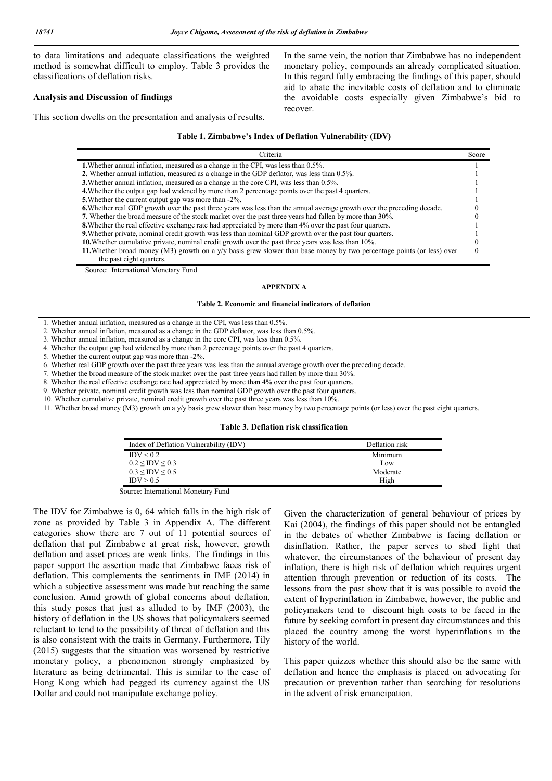to data limitations and adequate classifications the weighted method is somewhat difficult to employ. Table 3 provides the classifications of deflation risks.

#### Analysis and Discussion of findings

This section dwells on the presentation and analysis of results.

In the same vein, the notion that Zimbabwe has no independent monetary policy, compounds an already complicated situation. In this regard fully embracing the findings of this paper, should aid to abate the inevitable costs of deflation and to eliminate the avoidable costs especially given Zimbabwe's bid to recover.

#### Table 1. Zimbabwe's Index of Deflation Vulnerability (IDV)

| Criteria                                                                                                                       | Score |  |
|--------------------------------------------------------------------------------------------------------------------------------|-------|--|
| <b>1.</b> Whether annual inflation, measured as a change in the CPI, was less than 0.5%.                                       |       |  |
| 2. Whether annual inflation, measured as a change in the GDP deflator, was less than 0.5%.                                     |       |  |
| 3. Whether annual inflation, measured as a change in the core CPI, was less than 0.5%.                                         |       |  |
| 4. Whether the output gap had widened by more than 2 percentage points over the past 4 quarters.                               |       |  |
| 5. Whether the current output gap was more than -2%.                                                                           |       |  |
| <b>6.</b> Whether real GDP growth over the past three years was less than the annual average growth over the preceding decade. |       |  |
| 7. Whether the broad measure of the stock market over the past three years had fallen by more than 30%.                        |       |  |
| <b>8.</b> Whether the real effective exchange rate had appreciated by more than 4% over the past four quarters.                |       |  |
| <b>9.</b> Whether private, nominal credit growth was less than nominal GDP growth over the past four quarters.                 |       |  |
| 10. Whether cumulative private, nominal credit growth over the past three years was less than 10%.                             |       |  |
| 11. Whether broad money (M3) growth on a $y/y$ basis grew slower than base money by two percentage points (or less) over       |       |  |
| the past eight quarters.                                                                                                       |       |  |

Source: International Monetary Fund

#### APPENDIX A

#### Table 2. Economic and financial indicators of deflation

- 1. Whether annual inflation, measured as a change in the CPI, was less than 0.5%.
- 2. Whether annual inflation, measured as a change in the GDP deflator, was less than 0.5%.
- 3. Whether annual inflation, measured as a change in the core CPI, was less than 0.5%.
- 4. Whether the output gap had widened by more than 2 percentage points over the past 4 quarters.
- 5. Whether the current output gap was more than -2%.

6. Whether real GDP growth over the past three years was less than the annual average growth over the preceding decade.

7. Whether the broad measure of the stock market over the past three years had fallen by more than 30%.

8. Whether the real effective exchange rate had appreciated by more than 4% over the past four quarters.

9. Whether private, nominal credit growth was less than nominal GDP growth over the past four quarters.

10. Whether cumulative private, nominal credit growth over the past three years was less than 10%.

11. Whether broad money (M3) growth on a y/y basis grew slower than base money by two percentage points (or less) over the past eight quarters.

#### Table 3. Deflation risk classification

| Deflation risk |
|----------------|
| Minimum        |
| Low            |
| Moderate       |
| High           |
|                |

Source: International Monetary Fund

The IDV for Zimbabwe is 0, 64 which falls in the high risk of zone as provided by Table 3 in Appendix A. The different categories show there are 7 out of 11 potential sources of deflation that put Zimbabwe at great risk, however, growth deflation and asset prices are weak links. The findings in this paper support the assertion made that Zimbabwe faces risk of deflation. This complements the sentiments in IMF (2014) in which a subjective assessment was made but reaching the same conclusion. Amid growth of global concerns about deflation, this study poses that just as alluded to by IMF (2003), the history of deflation in the US shows that policymakers seemed reluctant to tend to the possibility of threat of deflation and this is also consistent with the traits in Germany. Furthermore, Tily (2015) suggests that the situation was worsened by restrictive monetary policy, a phenomenon strongly emphasized by literature as being detrimental. This is similar to the case of Hong Kong which had pegged its currency against the US Dollar and could not manipulate exchange policy.

Given the characterization of general behaviour of prices by Kai (2004), the findings of this paper should not be entangled in the debates of whether Zimbabwe is facing deflation or disinflation. Rather, the paper serves to shed light that whatever, the circumstances of the behaviour of present day inflation, there is high risk of deflation which requires urgent attention through prevention or reduction of its costs. The lessons from the past show that it is was possible to avoid the extent of hyperinflation in Zimbabwe, however, the public and policymakers tend to discount high costs to be faced in the future by seeking comfort in present day circumstances and this placed the country among the worst hyperinflations in the history of the world.

This paper quizzes whether this should also be the same with deflation and hence the emphasis is placed on advocating for precaution or prevention rather than searching for resolutions in the advent of risk emancipation.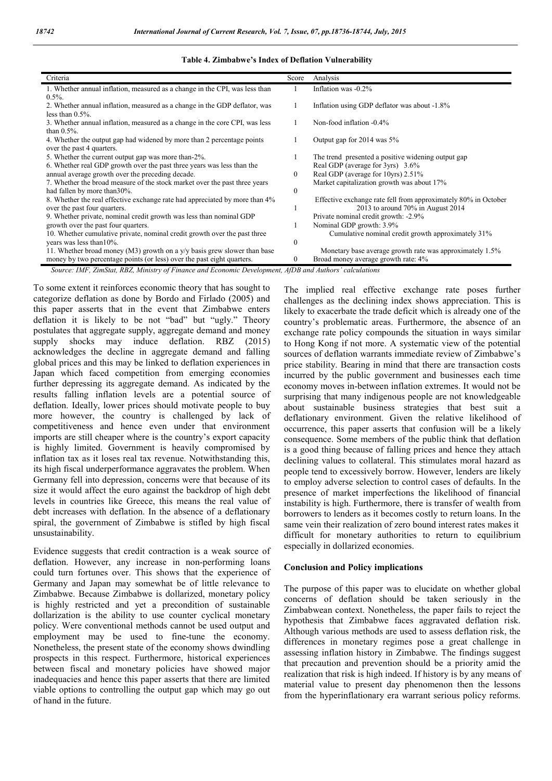| Criteria                                                                    | Score        | Analysis                                                       |
|-----------------------------------------------------------------------------|--------------|----------------------------------------------------------------|
| 1. Whether annual inflation, measured as a change in the CPI, was less than |              | Inflation was -0.2%                                            |
| $0.5\%$ .                                                                   |              |                                                                |
| 2. Whether annual inflation, measured as a change in the GDP deflator, was  |              | Inflation using GDP deflator was about -1.8%                   |
| less than $0.5\%$ .                                                         |              |                                                                |
| 3. Whether annual inflation, measured as a change in the core CPI, was less |              | Non-food inflation -0.4%                                       |
| than $0.5\%$ .                                                              |              |                                                                |
| 4. Whether the output gap had widened by more than 2 percentage points      |              | Output gap for 2014 was 5%                                     |
| over the past 4 quarters.                                                   |              |                                                                |
| 5. Whether the current output gap was more than-2%.                         |              | The trend presented a positive widening output gap             |
| 6. Whether real GDP growth over the past three years was less than the      |              | Real GDP (average for 3yrs) 3.6%                               |
| annual average growth over the preceding decade.                            |              | Real GDP (average for 10yrs) 2.51%                             |
| 7. Whether the broad measure of the stock market over the past three years  |              | Market capitalization growth was about 17%                     |
| had fallen by more than 30%.                                                | $\mathbf{0}$ |                                                                |
| 8. Whether the real effective exchange rate had appreciated by more than 4% |              | Effective exchange rate fell from approximately 80% in October |
| over the past four quarters.                                                |              | 2013 to around $70\%$ in August 2014                           |
| 9. Whether private, nominal credit growth was less than nominal GDP         |              | Private nominal credit growth: -2.9%                           |
| growth over the past four quarters.                                         |              | Nominal GDP growth: 3.9%                                       |
| 10. Whether cumulative private, nominal credit growth over the past three   |              | Cumulative nominal credit growth approximately 31%             |
| years was less than 10%.                                                    |              |                                                                |
| 11. Whether broad money (M3) growth on a $y/y$ basis grew slower than base  |              | Monetary base average growth rate was approximately 1.5%       |
| money by two percentage points (or less) over the past eight quarters.      |              | Broad money average growth rate: 4%                            |

#### Table 4. Zimbabwe's Index of Deflation Vulnerability

 *Source: IMF, ZimStat, RBZ, Ministry of Finance and Economic Development, AfDB and Authors' calculations*

To some extent it reinforces economic theory that has sought to categorize deflation as done by Bordo and Firlado (2005) and this paper asserts that in the event that Zimbabwe enters deflation it is likely to be not "bad" but "ugly." Theory postulates that aggregate supply, aggregate demand and money supply shocks may induce deflation. RBZ (2015) acknowledges the decline in aggregate demand and falling global prices and this may be linked to deflation experiences in Japan which faced competition from emerging economies further depressing its aggregate demand. As indicated by the results falling inflation levels are a potential source of deflation. Ideally, lower prices should motivate people to buy more however, the country is challenged by lack of competitiveness and hence even under that environment imports are still cheaper where is the country's export capacity is highly limited. Government is heavily compromised by inflation tax as it loses real tax revenue. Notwithstanding this, its high fiscal underperformance aggravates the problem. When Germany fell into depression, concerns were that because of its size it would affect the euro against the backdrop of high debt levels in countries like Greece, this means the real value of debt increases with deflation. In the absence of a deflationary spiral, the government of Zimbabwe is stifled by high fiscal unsustainability.

Evidence suggests that credit contraction is a weak source of deflation. However, any increase in non-performing loans could turn fortunes over. This shows that the experience of Germany and Japan may somewhat be of little relevance to Zimbabwe. Because Zimbabwe is dollarized, monetary policy is highly restricted and yet a precondition of sustainable dollarization is the ability to use counter cyclical monetary policy. Were conventional methods cannot be used output and employment may be used to fine-tune the economy. Nonetheless, the present state of the economy shows dwindling prospects in this respect. Furthermore, historical experiences between fiscal and monetary policies have showed major inadequacies and hence this paper asserts that there are limited viable options to controlling the output gap which may go out of hand in the future.

The implied real effective exchange rate poses further challenges as the declining index shows appreciation. This is likely to exacerbate the trade deficit which is already one of the country's problematic areas. Furthermore, the absence of an exchange rate policy compounds the situation in ways similar to Hong Kong if not more. A systematic view of the potential sources of deflation warrants immediate review of Zimbabwe's price stability. Bearing in mind that there are transaction costs incurred by the public government and businesses each time economy moves in-between inflation extremes. It would not be surprising that many indigenous people are not knowledgeable about sustainable business strategies that best suit a deflationary environment. Given the relative likelihood of occurrence, this paper asserts that confusion will be a likely consequence. Some members of the public think that deflation is a good thing because of falling prices and hence they attach declining values to collateral. This stimulates moral hazard as people tend to excessively borrow. However, lenders are likely to employ adverse selection to control cases of defaults. In the presence of market imperfections the likelihood of financial instability is high. Furthermore, there is transfer of wealth from borrowers to lenders as it becomes costly to return loans. In the same vein their realization of zero bound interest rates makes it difficult for monetary authorities to return to equilibrium especially in dollarized economies.

### Conclusion and Policy implications

The purpose of this paper was to elucidate on whether global concerns of deflation should be taken seriously in the Zimbabwean context. Nonetheless, the paper fails to reject the hypothesis that Zimbabwe faces aggravated deflation risk. Although various methods are used to assess deflation risk, the differences in monetary regimes pose a great challenge in assessing inflation history in Zimbabwe. The findings suggest that precaution and prevention should be a priority amid the realization that risk is high indeed. If history is by any means of material value to present day phenomenon then the lessons from the hyperinflationary era warrant serious policy reforms.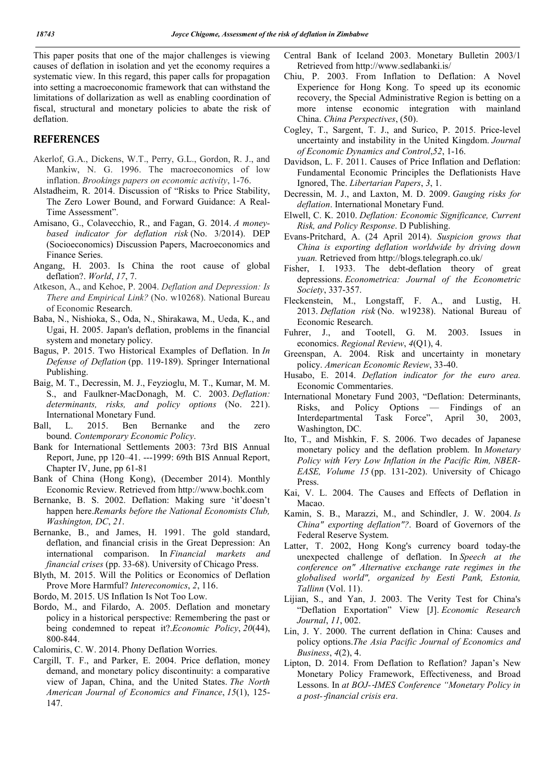This paper posits that one of the major challenges is viewing causes of deflation in isolation and yet the economy requires a systematic view. In this regard, this paper calls for propagation into setting a macroeconomic framework that can withstand the limitations of dollarization as well as enabling coordination of fiscal, structural and monetary policies to abate the risk of deflation.

## **REFERENCES**

- Akerlof, G.A., Dickens, W.T., Perry, G.L., Gordon, R. J., and Mankiw, N. G. 1996. The macroeconomics of low inflation. *Brookings papers on economic activity*, 1-76.
- Alstadheim, R. 2014. Discussion of "Risks to Price Stability, The Zero Lower Bound, and Forward Guidance: A Real-Time Assessment".
- Amisano, G., Colavecchio, R., and Fagan, G. 2014. *A moneybased indicator for deflation risk* (No. 3/2014). DEP (Socioeconomics) Discussion Papers, Macroeconomics and Finance Series.
- Angang, H. 2003. Is China the root cause of global deflation?. *World*, *17*, 7.
- Atkeson, A., and Kehoe, P. 2004. *Deflation and Depression: Is There and Empirical Link?* (No. w10268). National Bureau of Economic Research.
- Baba, N., Nishioka, S., Oda, N., Shirakawa, M., Ueda, K., and Ugai, H. 2005. Japan's deflation, problems in the financial system and monetary policy.
- Bagus, P. 2015. Two Historical Examples of Deflation. In *In Defense of Deflation* (pp. 119-189). Springer International Publishing.
- Baig, M. T., Decressin, M. J., Feyzioglu, M. T., Kumar, M. M. S., and Faulkner-MacDonagh, M. C. 2003. *Deflation: determinants, risks, and policy options* (No. 221). International Monetary Fund.
- Ball, L. 2015. Ben Bernanke and the zero bound. *Contemporary Economic Policy*.
- Bank for International Settlements 2003: 73rd BIS Annual Report, June, pp 120–41. ---1999: 69th BIS Annual Report, Chapter IV, June, pp 61-81
- Bank of China (Hong Kong), (December 2014). Monthly Economic Review. Retrieved from http://www.bochk.com
- Bernanke, B. S. 2002. Deflation: Making sure 'it'doesn't happen here.*Remarks before the National Economists Club, Washington, DC*, *21*.
- Bernanke, B., and James, H. 1991. The gold standard, deflation, and financial crisis in the Great Depression: An international comparison. In *Financial markets and financial crises* (pp. 33-68). University of Chicago Press.
- Blyth, M. 2015. Will the Politics or Economics of Deflation Prove More Harmful? *Intereconomics*, *2*, 116.
- Bordo, M. 2015. US Inflation Is Not Too Low.
- Bordo, M., and Filardo, A. 2005. Deflation and monetary policy in a historical perspective: Remembering the past or being condemned to repeat it?.*Economic Policy*, *20*(44), 800-844.
- Calomiris, C. W. 2014. Phony Deflation Worries.
- Cargill, T. F., and Parker, E. 2004. Price deflation, money demand, and monetary policy discontinuity: a comparative view of Japan, China, and the United States. *The North American Journal of Economics and Finance*, *15*(1), 125- 147.
- Central Bank of Iceland 2003. Monetary Bulletin 2003/1 Retrieved from http://www.sedlabanki.is/
- Chiu, P. 2003. From Inflation to Deflation: A Novel Experience for Hong Kong. To speed up its economic recovery, the Special Administrative Region is betting on a more intense economic integration with mainland China. *China Perspectives*, (50).
- Cogley, T., Sargent, T. J., and Surico, P. 2015. Price-level uncertainty and instability in the United Kingdom. *Journal of Economic Dynamics and Control*,*52*, 1-16.
- Davidson, L. F. 2011. Causes of Price Inflation and Deflation: Fundamental Economic Principles the Deflationists Have Ignored, The. *Libertarian Papers*, *3*, 1.
- Decressin, M. J., and Laxton, M. D. 2009. *Gauging risks for deflation*. International Monetary Fund.
- Elwell, C. K. 2010. *Deflation: Economic Significance, Current Risk, and Policy Response*. D Publishing.
- Evans-Pritchard, A. (24 April 2014). *Suspicion grows that China is exporting deflation worldwide by driving down yuan.* Retrieved from http://blogs.telegraph.co.uk/
- Fisher, I. 1933. The debt-deflation theory of great depressions. *Econometrica: Journal of the Econometric Society*, 337-357.
- Fleckenstein, M., Longstaff, F. A., and Lustig, H. 2013. *Deflation risk* (No. w19238). National Bureau of Economic Research.
- Fuhrer, J., and Tootell, G. M. 2003. Issues in economics. *Regional Review*, *4*(Q1), 4.
- Greenspan, A. 2004. Risk and uncertainty in monetary policy. *American Economic Review*, 33-40.
- Husabo, E. 2014. *Deflation indicator for the euro area.*  Economic Commentaries.
- International Monetary Fund 2003, "Deflation: Determinants, Risks, and Policy Options — Findings of an Interdepartmental Task Force", April 30, 2003, Washington, DC.
- Ito, T., and Mishkin, F. S. 2006. Two decades of Japanese monetary policy and the deflation problem. In *Monetary Policy with Very Low Inflation in the Pacific Rim, NBER-EASE, Volume 15* (pp. 131-202). University of Chicago Press.
- Kai, V. L. 2004. The Causes and Effects of Deflation in Macao.
- Kamin, S. B., Marazzi, M., and Schindler, J. W. 2004. *Is China" exporting deflation"?*. Board of Governors of the Federal Reserve System.
- Latter, T. 2002, Hong Kong's currency board today-the unexpected challenge of deflation. In *Speech at the conference on" Alternative exchange rate regimes in the globalised world", organized by Eesti Pank, Estonia, Tallinn* (Vol. 11).
- Lijian, S., and Yan, J. 2003. The Verity Test for China's "Deflation Exportation" View [J]. *Economic Research Journal*, *11*, 002.
- Lin, J. Y. 2000. The current deflation in China: Causes and policy options.*The Asia Pacific Journal of Economics and Business*, *4*(2), 4.
- Lipton, D. 2014. From Deflation to Reflation? Japan's New Monetary Policy Framework, Effectiveness, and Broad Lessons. In *at BOJ-*‐*IMES Conference "Monetary Policy in a post-*‐*financial crisis era*.